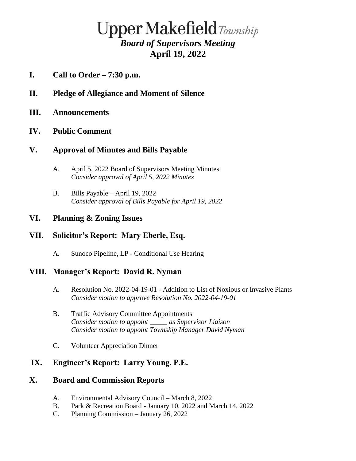# **Upper Makefield**Township *Board of Supervisors Meeting* **April 19, 2022**

- **I. Call to Order – 7:30 p.m.**
- **II. Pledge of Allegiance and Moment of Silence**
- **III. Announcements**

#### **IV. Public Comment**

### **V. Approval of Minutes and Bills Payable**

- A. April 5, 2022 Board of Supervisors Meeting Minutes *Consider approval of April 5, 2022 Minutes*
- B. Bills Payable April 19, 2022 *Consider approval of Bills Payable for April 19, 2022*

#### **VI. Planning & Zoning Issues**

### **VII. Solicitor's Report: Mary Eberle, Esq.**

A. Sunoco Pipeline, LP - Conditional Use Hearing

### **VIII. Manager's Report: David R. Nyman**

- A. Resolution No. 2022-04-19-01 Addition to List of Noxious or Invasive Plants *Consider motion to approve Resolution No. 2022-04-19-01*
- B. Traffic Advisory Committee Appointments *Consider motion to appoint \_\_\_\_\_ as Supervisor Liaison Consider motion to appoint Township Manager David Nyman*
- C. Volunteer Appreciation Dinner

### **IX. Engineer's Report: Larry Young, P.E.**

#### **X. Board and Commission Reports**

- A. Environmental Advisory Council March 8, 2022
- B. Park & Recreation Board January 10, 2022 and March 14, 2022
- C. Planning Commission January 26, 2022